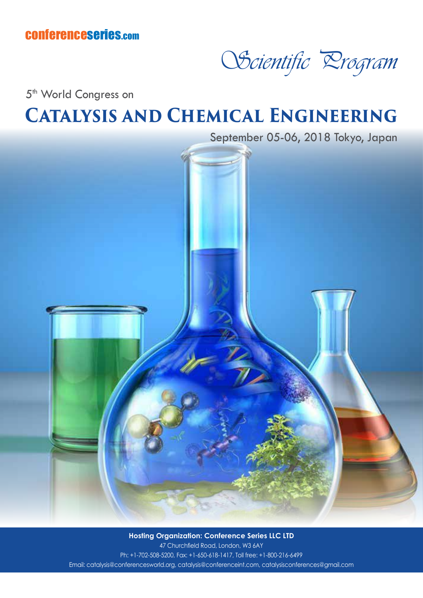

5<sup>th</sup> World Congress on

## **Catalysis and Chemical Engineering**



**Hosting Organization: Conference Series LLC LTD** 47 Churchfield Road, London, W3 6AY Ph: +1-702-508-5200, Fax: +1-650-618-1417, Toll free: +1-800-216-6499 Email: catalysis@conferencesworld.org, catalysis@conferenceint.com, catalysisconferences@gmail.com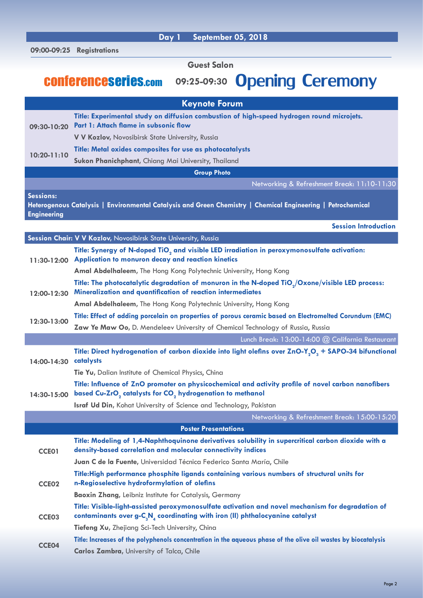|                                        | 09:00-09:25 Registrations                                                                                                                                                                |
|----------------------------------------|------------------------------------------------------------------------------------------------------------------------------------------------------------------------------------------|
|                                        | <b>Guest Salon</b>                                                                                                                                                                       |
|                                        | 09:25-09:30 Opening Ceremony<br><b>CONFERENCESETIES.com</b>                                                                                                                              |
|                                        | <b>Keynote Forum</b>                                                                                                                                                                     |
| 09:30-10:20                            | Title: Experimental study on diffusion combustion of high-speed hydrogen round microjets.<br>Part 1: Attach flame in subsonic flow<br>V V Kozlov, Novosibirsk State University, Russia   |
| 10:20-11:10                            | Title: Metal oxides composites for use as photocatalysts                                                                                                                                 |
|                                        | Sukon Phanichphant, Chiang Mai University, Thailand                                                                                                                                      |
|                                        | <b>Group Photo</b>                                                                                                                                                                       |
|                                        | Networking & Refreshment Break: 11:10-11:30                                                                                                                                              |
| <b>Sessions:</b><br><b>Engineering</b> | Heterogenous Catalysis   Environmental Catalysis and Green Chemistry   Chemical Engineering   Petrochemical                                                                              |
|                                        | <b>Session Introduction</b>                                                                                                                                                              |
|                                        | Session Chair: V V Kozlov, Novosibirsk State University, Russia                                                                                                                          |
|                                        | Title: Synergy of N-doped TiO <sub>2</sub> and visible LED irradiation in peroxymonosulfate activation:<br>11:30-12:00 Application to monuron decay and reaction kinetics                |
|                                        | Amal Abdelhaleem, The Hong Kong Polytechnic University, Hong Kong                                                                                                                        |
| 12:00-12:30                            | Title: The photocatalytic degradation of monuron in the N-doped TiO <sub>2</sub> /Oxone/visible LED process:<br>Mineralization and quantification of reaction intermediates              |
|                                        | Amal Abdelhaleem, The Hong Kong Polytechnic University, Hong Kong                                                                                                                        |
| 12:30-13:00                            | Title: Effect of adding porcelain on properties of porous ceramic based on Electromelted Corundum (EMC)                                                                                  |
|                                        | Zaw Ye Maw Oo, D. Mendeleev University of Chemical Technology of Russia, Russia<br>Lunch Break: 13:00-14:00 @ California Restaurant                                                      |
| 14:00-14:30                            | Title: Direct hydrogenation of carbon dioxide into light olefins over ZnO-Y <sub>2</sub> O <sub>3</sub> + SAPO-34 bifunctional<br>catalysts                                              |
|                                        | Tie Yu, Dalian Institute of Chemical Physics, China                                                                                                                                      |
| 14:30-15:00                            | Title: Influence of ZnO promoter on physicochemical and activity profile of novel carbon nanofibers<br>based Cu-ZrO <sub>2</sub> catalysts for CO <sub>2</sub> hydrogenation to methanol |
|                                        | Israf Ud Din, Kohat University of Science and Technology, Pakistan                                                                                                                       |
|                                        | Networking & Refreshment Break: 15:00-15:20                                                                                                                                              |
|                                        | <b>Poster Presentations</b>                                                                                                                                                              |
| CCE01                                  | Title: Modeling of 1,4-Naphthoquinone derivatives solubility in supercritical carbon dioxide with a<br>density-based correlation and molecular connectivity indices                      |
|                                        | Juan C de la Fuente, Universidad Técnica Federico Santa María, Chile                                                                                                                     |
| CCE <sub>02</sub>                      | Title:High performance phosphite ligands containing various numbers of structural units for<br>n-Regioselective hydroformylation of olefins                                              |
|                                        | <b>Baoxin Zhang, Leibniz Institute for Catalysis, Germany</b>                                                                                                                            |
| CCE03                                  | Title: Visible-light-assisted peroxymonosulfate activation and novel mechanism for degradation of<br>contaminants over $g - C_3 N_4$ coordinating with iron (II) phthalocyanine catalyst |
|                                        | Tiefeng Xu, Zhejiang Sci-Tech University, China                                                                                                                                          |
| CCE04                                  | Title: Increases of the polyphenols concentration in the aqueous phase of the olive oil wastes by biocatalysis                                                                           |
|                                        | Carlos Zambra, University of Talca, Chile                                                                                                                                                |

 **Day 1 September 05, 2018**